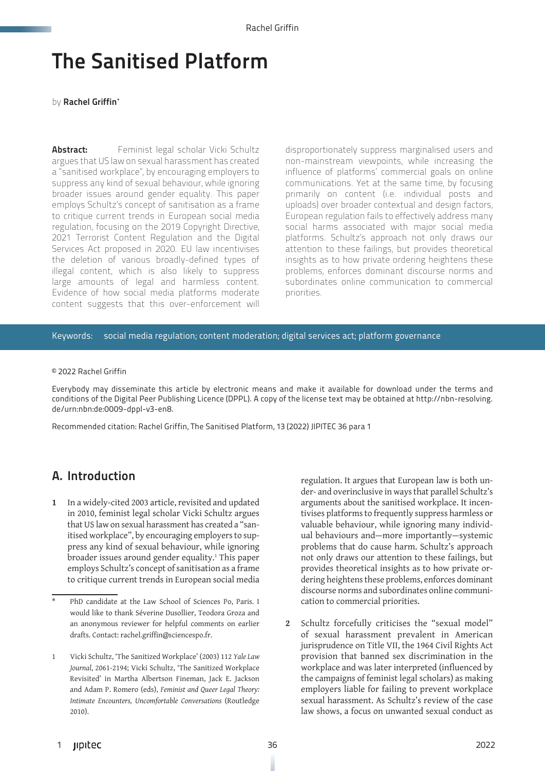# The Sanitised Platform

by Rachel Griffin\*

**Abstract:** Feminist legal scholar Vicki Schultz argues that US law on sexual harassment has created a "sanitised workplace", by encouraging employers to suppress any kind of sexual behaviour, while ignoring broader issues around gender equality. This paper employs Schultz's concept of sanitisation as a frame to critique current trends in European social media regulation, focusing on the 2019 Copyright Directive, 2021 Terrorist Content Regulation and the Digital Services Act proposed in 2020. EU law incentivises the deletion of various broadly-defined types of illegal content, which is also likely to suppress large amounts of legal and harmless content. Evidence of how social media platforms moderate content suggests that this over-enforcement will

disproportionately suppress marginalised users and non-mainstream viewpoints, while increasing the influence of platforms' commercial goals on online communications. Yet at the same time, by focusing primarily on content (i.e. individual posts and uploads) over broader contextual and design factors, European regulation fails to effectively address many social harms associated with major social media platforms. Schultz's approach not only draws our attention to these failings, but provides theoretical insights as to how private ordering heightens these problems, enforces dominant discourse norms and subordinates online communication to commercial priorities.

#### Keywords: social media regulation; content moderation; digital services act; platform governance

#### © 2022 Rachel Griffin

Everybody may disseminate this article by electronic means and make it available for download under the terms and conditions of the Digital Peer Publishing Licence (DPPL). A copy of the license text may be obtained at http://nbn-resolving. de/urn:nbn:de:0009-dppl-v3-en8.

Recommended citation: Rachel Griffin, The Sanitised Platform, 13 (2022) JIPITEC 36 para 1

#### A. Introduction

**1** In a widely-cited 2003 article, revisited and updated in 2010, feminist legal scholar Vicki Schultz argues that US law on sexual harassment has created a "sanitised workplace", by encouraging employers to suppress any kind of sexual behaviour, while ignoring broader issues around gender equality.<sup>1</sup> This paper employs Schultz's concept of sanitisation as a frame to critique current trends in European social media

regulation. It argues that European law is both under- and overinclusive in ways that parallel Schultz's arguments about the sanitised workplace. It incentivises platforms to frequently suppress harmless or valuable behaviour, while ignoring many individual behaviours and—more importantly—systemic problems that do cause harm. Schultz's approach not only draws our attention to these failings, but provides theoretical insights as to how private ordering heightens these problems, enforces dominant discourse norms and subordinates online communication to commercial priorities.

**2** Schultz forcefully criticises the "sexual model" of sexual harassment prevalent in American jurisprudence on Title VII, the 1964 Civil Rights Act provision that banned sex discrimination in the workplace and was later interpreted (influenced by the campaigns of feminist legal scholars) as making employers liable for failing to prevent workplace sexual harassment. As Schultz's review of the case law shows, a focus on unwanted sexual conduct as

PhD candidate at the Law School of Sciences Po, Paris. I would like to thank Séverine Dusollier, Teodora Groza and an anonymous reviewer for helpful comments on earlier drafts. Contact: rachel.griffin@sciencespo.fr.

<sup>1</sup> Vicki Schultz, 'The Sanitized Workplace' (2003) 112 *Yale Law Journal*, 2061-2194; Vicki Schultz, 'The Sanitized Workplace Revisited' in Martha Albertson Fineman, Jack E. Jackson and Adam P. Romero (eds), *Feminist and Queer Legal Theory: Intimate Encounters, Uncomfortable Conversations* (Routledge 2010).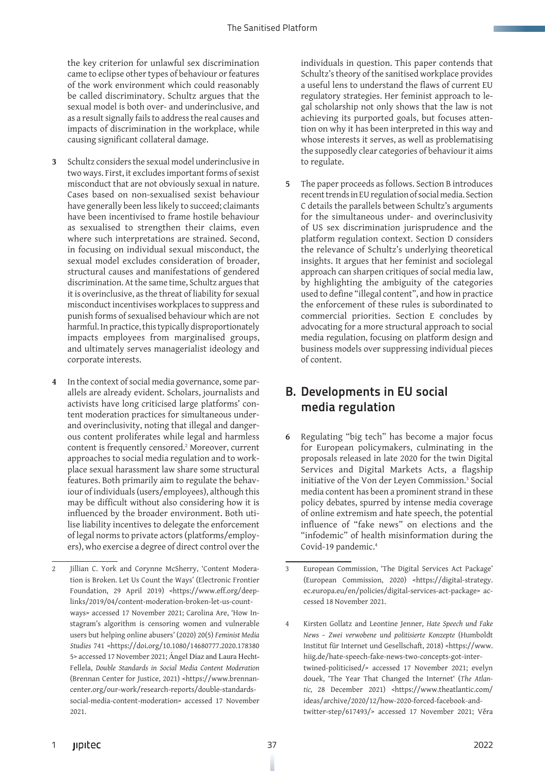the key criterion for unlawful sex discrimination came to eclipse other types of behaviour or features of the work environment which could reasonably be called discriminatory. Schultz argues that the sexual model is both over- and underinclusive, and as a result signally fails to address the real causes and impacts of discrimination in the workplace, while causing significant collateral damage.

- **3** Schultz considers the sexual model underinclusive in two ways. First, it excludes important forms of sexist misconduct that are not obviously sexual in nature. Cases based on non-sexualised sexist behaviour have generally been less likely to succeed; claimants have been incentivised to frame hostile behaviour as sexualised to strengthen their claims, even where such interpretations are strained. Second, in focusing on individual sexual misconduct, the sexual model excludes consideration of broader, structural causes and manifestations of gendered discrimination. At the same time, Schultz argues that it is overinclusive, as the threat of liability for sexual misconduct incentivises workplaces to suppress and punish forms of sexualised behaviour which are not harmful. In practice, this typically disproportionately impacts employees from marginalised groups, and ultimately serves managerialist ideology and corporate interests.
- **4** In the context of social media governance, some parallels are already evident. Scholars, journalists and activists have long criticised large platforms' content moderation practices for simultaneous underand overinclusivity, noting that illegal and dangerous content proliferates while legal and harmless content is frequently censored.<sup>2</sup> Moreover, current approaches to social media regulation and to workplace sexual harassment law share some structural features. Both primarily aim to regulate the behaviour of individuals (users/employees), although this may be difficult without also considering how it is influenced by the broader environment. Both utilise liability incentives to delegate the enforcement of legal norms to private actors (platforms/employers), who exercise a degree of direct control over the

individuals in question. This paper contends that Schultz's theory of the sanitised workplace provides a useful lens to understand the flaws of current EU regulatory strategies. Her feminist approach to legal scholarship not only shows that the law is not achieving its purported goals, but focuses attention on why it has been interpreted in this way and whose interests it serves, as well as problematising the supposedly clear categories of behaviour it aims to regulate.

**5** The paper proceeds as follows. Section B introduces recent trends in EU regulation of social media. Section C details the parallels between Schultz's arguments for the simultaneous under- and overinclusivity of US sex discrimination jurisprudence and the platform regulation context. Section D considers the relevance of Schultz's underlying theoretical insights. It argues that her feminist and sociolegal approach can sharpen critiques of social media law, by highlighting the ambiguity of the categories used to define "illegal content", and how in practice the enforcement of these rules is subordinated to commercial priorities. Section E concludes by advocating for a more structural approach to social media regulation, focusing on platform design and business models over suppressing individual pieces of content.

## B. Developments in EU social media regulation

**6** Regulating "big tech" has become a major focus for European policymakers, culminating in the proposals released in late 2020 for the twin Digital Services and Digital Markets Acts, a flagship initiative of the Von der Leyen Commission.<sup>3</sup> Social media content has been a prominent strand in these policy debates, spurred by intense media coverage of online extremism and hate speech, the potential influence of "fake news" on elections and the "infodemic" of health misinformation during the Covid-19 pandemic.<sup>4</sup>

<sup>2</sup> Jillian C. York and Corynne McSherry, 'Content Moderation is Broken. Let Us Count the Ways' (Electronic Frontier Foundation, 29 April 2019) <https://www.eff.org/deeplinks/2019/04/content-moderation-broken-let-us-countways> accessed 17 November 2021; Carolina Are, 'How Instagram's algorithm is censoring women and vulnerable users but helping online abusers' (2020) 20(5) *Feminist Media Studies* 741 <https://doi.org/10.1080/14680777.2020.178380 5> accessed 17 November 2021; Ángel Díaz and Laura Hecht-Fellela, *Double Standards in Social Media Content Moderation* (Brennan Center for Justice, 2021) <https://www.brennancenter.org/our-work/research-reports/double-standardssocial-media-content-moderation> accessed 17 November 2021.

<sup>3</sup> European Commission, 'The Digital Services Act Package' (European Commission, 2020) <https://digital-strategy. ec.europa.eu/en/policies/digital-services-act-package> accessed 18 November 2021.

<sup>4</sup> Kirsten Gollatz and Leontine Jenner, *Hate Speech und Fake News – Zwei verwobene und politisierte Konzepte* (Humboldt Institut für Internet und Gesellschaft, 2018) <https://www. hiig.de/hate-speech-fake-news-two-concepts-got-intertwined-politicised/> accessed 17 November 2021; evelyn douek, 'The Year That Changed the Internet' (*The Atlantic,* 28 December 2021) <https://www.theatlantic.com/ ideas/archive/2020/12/how-2020-forced-facebook-andtwitter-step/617493/> accessed 17 November 2021; Věra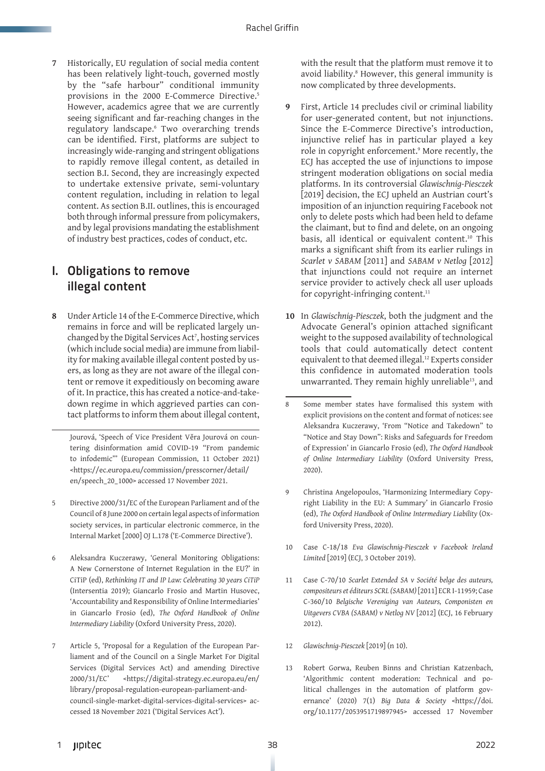**7** Historically, EU regulation of social media content has been relatively light-touch, governed mostly by the "safe harbour" conditional immunity provisions in the 2000 E-Commerce Directive.<sup>5</sup> However, academics agree that we are currently seeing significant and far-reaching changes in the regulatory landscape.6 Two overarching trends can be identified. First, platforms are subject to increasingly wide-ranging and stringent obligations to rapidly remove illegal content, as detailed in section B.I. Second, they are increasingly expected to undertake extensive private, semi-voluntary content regulation, including in relation to legal content. As section B.II. outlines, this is encouraged both through informal pressure from policymakers, and by legal provisions mandating the establishment of industry best practices, codes of conduct, etc.

## I. Obligations to remove illegal content

**8** Under Article 14 of the E-Commerce Directive, which remains in force and will be replicated largely unchanged by the Digital Services Act7 , hosting services (which include social media) are immune from liability for making available illegal content posted by users, as long as they are not aware of the illegal content or remove it expeditiously on becoming aware of it. In practice, this has created a notice-and-takedown regime in which aggrieved parties can contact platforms to inform them about illegal content,

Jourová, 'Speech of Vice President Věra Jourová on countering disinformation amid COVID-19 "From pandemic to infodemic"' (European Commission, 11 October 2021) <https://ec.europa.eu/commission/presscorner/detail/ en/speech\_20\_1000> accessed 17 November 2021.

- 5 Directive 2000/31/EC of the European Parliament and of the Council of 8 June 2000 on certain legal aspects of information society services, in particular electronic commerce, in the Internal Market [2000] OJ L.178 ('E-Commerce Directive').
- 6 Aleksandra Kuczerawy, 'General Monitoring Obligations: A New Cornerstone of Internet Regulation in the EU?' in CiTiP (ed), *Rethinking IT and IP Law: Celebrating 30 years CiTiP*  (Intersentia 2019); Giancarlo Frosio and Martin Husovec, 'Accountability and Responsibility of Online Intermediaries' in Giancarlo Frosio (ed), *The Oxford Handbook of Online Intermediary Liability* (Oxford University Press, 2020).
- 7 Article 5, 'Proposal for a Regulation of the European Parliament and of the Council on a Single Market For Digital Services (Digital Services Act) and amending Directive 2000/31/EC' <https://digital-strategy.ec.europa.eu/en/ library/proposal-regulation-european-parliament-andcouncil-single-market-digital-services-digital-services> accessed 18 November 2021 ('Digital Services Act').

with the result that the platform must remove it to avoid liability.<sup>8</sup> However, this general immunity is now complicated by three developments.

- **9** First, Article 14 precludes civil or criminal liability for user-generated content, but not injunctions. Since the E-Commerce Directive's introduction, injunctive relief has in particular played a key role in copyright enforcement.9 More recently, the ECJ has accepted the use of injunctions to impose stringent moderation obligations on social media platforms. In its controversial *Glawischnig-Piesczek*  [2019] decision, the ECJ upheld an Austrian court's imposition of an injunction requiring Facebook not only to delete posts which had been held to defame the claimant, but to find and delete, on an ongoing basis, all identical or equivalent content.<sup>10</sup> This marks a significant shift from its earlier rulings in *Scarlet v SABAM* [2011] and *SABAM v Netlog* [2012] that injunctions could not require an internet service provider to actively check all user uploads for copyright-infringing content.<sup>11</sup>
- **10** In *Glawischnig-Piesczek*, both the judgment and the Advocate General's opinion attached significant weight to the supposed availability of technological tools that could automatically detect content equivalent to that deemed illegal.12 Experts consider this confidence in automated moderation tools unwarranted. They remain highly unreliable<sup>13</sup>, and

- 9 Christina Angelopoulos, 'Harmonizing Intermediary Copyright Liability in the EU: A Summary' in Giancarlo Frosio (ed), *The Oxford Handbook of Online Intermediary Liability* (Oxford University Press, 2020).
- 10 Case C-18/18 *Eva Glawischnig-Piesczek v Facebook Ireland Limited* [2019] (ECJ, 3 October 2019).
- 11 Case C-70/10 *Scarlet Extended SA v Société belge des auteurs, compositeurs et éditeurs SCRL (SABAM)* [2011] ECR I-11959; Case C-360/10 *Belgische Vereniging van Auteurs, Componisten en Uitgevers CVBA (SABAM) v Netlog NV* [2012] (ECJ, 16 February 2012).
- 12 *Glawischnig-Piesczek* [2019] (n 10).
- 13 Robert Gorwa, Reuben Binns and Christian Katzenbach, 'Algorithmic content moderation: Technical and political challenges in the automation of platform governance' (2020) 7(1) *Big Data & Society* <https://doi. org/10.1177/2053951719897945> accessed 17 November

<sup>8</sup> Some member states have formalised this system with explicit provisions on the content and format of notices: see Aleksandra Kuczerawy, 'From "Notice and Takedown" to "Notice and Stay Down": Risks and Safeguards for Freedom of Expression' in Giancarlo Frosio (ed), *The Oxford Handbook of Online Intermediary Liability* (Oxford University Press, 2020).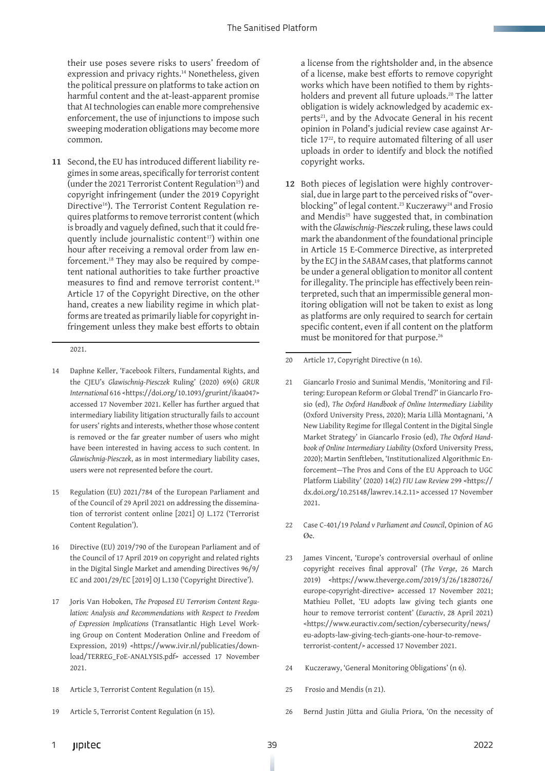their use poses severe risks to users' freedom of expression and privacy rights.<sup>14</sup> Nonetheless, given the political pressure on platforms to take action on harmful content and the at-least-apparent promise that AI technologies can enable more comprehensive enforcement, the use of injunctions to impose such sweeping moderation obligations may become more common.

**11** Second, the EU has introduced different liability regimes in some areas, specifically for terrorist content (under the 2021 Terrorist Content Regulation<sup>15</sup>) and copyright infringement (under the 2019 Copyright Directive<sup>16</sup>). The Terrorist Content Regulation requires platforms to remove terrorist content (which is broadly and vaguely defined, such that it could frequently include journalistic content<sup>17</sup>) within one hour after receiving a removal order from law enforcement.18 They may also be required by competent national authorities to take further proactive measures to find and remove terrorist content.<sup>19</sup> Article 17 of the Copyright Directive, on the other hand, creates a new liability regime in which platforms are treated as primarily liable for copyright infringement unless they make best efforts to obtain

2021.

- 14 Daphne Keller, 'Facebook Filters, Fundamental Rights, and the CJEU's *Glawischnig-Piesczek* Ruling' (2020) 69(6) *GRUR International* 616 <https://doi.org/10.1093/grurint/ikaa047> accessed 17 November 2021. Keller has further argued that intermediary liability litigation structurally fails to account for users' rights and interests, whether those whose content is removed or the far greater number of users who might have been interested in having access to such content. In *Glawischnig-Piesczek*, as in most intermediary liability cases, users were not represented before the court.
- 15 Regulation (EU) 2021/784 of the European Parliament and of the Council of 29 April 2021 on addressing the dissemination of terrorist content online [2021] OJ L.172 ('Terrorist Content Regulation').
- 16 Directive (EU) 2019/790 of the European Parliament and of the Council of 17 April 2019 on copyright and related rights in the Digital Single Market and amending Directives 96/9/ EC and 2001/29/EC [2019] OJ L.130 ('Copyright Directive').
- 17 Joris Van Hoboken, *The Proposed EU Terrorism Content Regulation: Analysis and Recommendations with Respect to Freedom of Expression Implications* (Transatlantic High Level Working Group on Content Moderation Online and Freedom of Expression, 2019) <https://www.ivir.nl/publicaties/download/TERREG\_FoE-ANALYSIS.pdf> accessed 17 November 2021.
- 18 Article 3, Terrorist Content Regulation (n 15).
- 19 Article 5, Terrorist Content Regulation (n 15).

a license from the rightsholder and, in the absence of a license, make best efforts to remove copyright works which have been notified to them by rightsholders and prevent all future uploads.<sup>20</sup> The latter obligation is widely acknowledged by academic experts<sup>21</sup>, and by the Advocate General in his recent opinion in Poland's judicial review case against Article 17<sup>22</sup>, to require automated filtering of all user uploads in order to identify and block the notified copyright works.

- **12** Both pieces of legislation were highly controversial, due in large part to the perceived risks of "overblocking" of legal content.<sup>23</sup> Kuczerawy<sup>24</sup> and Frosio and Mendis<sup>25</sup> have suggested that, in combination with the *Glawischnig-Piesczek* ruling, these laws could mark the abandonment of the foundational principle in Article 15 E-Commerce Directive, as interpreted by the ECJ in the *SABAM* cases, that platforms cannot be under a general obligation to monitor all content for illegality. The principle has effectively been reinterpreted, such that an impermissible general monitoring obligation will not be taken to exist as long as platforms are only required to search for certain specific content, even if all content on the platform must be monitored for that purpose.26
- 20 Article 17, Copyright Directive (n 16).
- 21 Giancarlo Frosio and Sunimal Mendis, 'Monitoring and Filtering: European Reform or Global Trend?' in Giancarlo Frosio (ed), *The Oxford Handbook of Online Intermediary Liability*  (Oxford University Press, 2020); Maria Lillà Montagnani, 'A New Liability Regime for Illegal Content in the Digital Single Market Strategy' in Giancarlo Frosio (ed), *The Oxford Handbook of Online Intermediary Liability* (Oxford University Press, 2020); Martin Senftleben, 'Institutionalized Algorithmic Enforcement—The Pros and Cons of the EU Approach to UGC Platform Liability' (2020) 14(2) *FIU Law Review* 299 <https:// dx.doi.org/10.25148/lawrev.14.2.11> accessed 17 November 2021.
- 22 Case C-401/19 *Poland v Parliament and Council*, Opinion of AG  $\alpha_{\rm P}$
- 23 James Vincent, 'Europe's controversial overhaul of online copyright receives final approval' (*The Verge*, 26 March 2019) <https://www.theverge.com/2019/3/26/18280726/ europe-copyright-directive> accessed 17 November 2021; Mathieu Pollet, 'EU adopts law giving tech giants one hour to remove terrorist content' (*Euractiv*, 28 April 2021) <https://www.euractiv.com/section/cybersecurity/news/ eu-adopts-law-giving-tech-giants-one-hour-to-removeterrorist-content/> accessed 17 November 2021.
- 24 Kuczerawy, 'General Monitoring Obligations' (n 6).
- 25 Frosio and Mendis (n 21).
- 26 Bernd Justin Jütta and Giulia Priora, 'On the necessity of
- 1 39 2022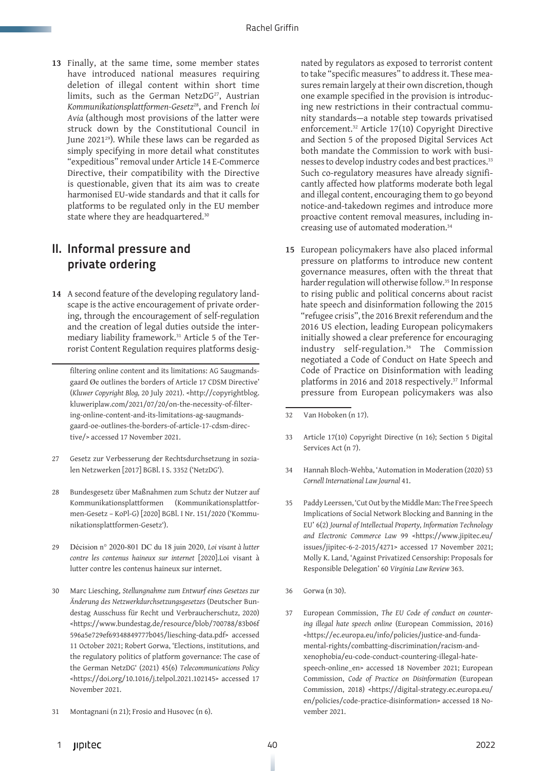**13** Finally, at the same time, some member states have introduced national measures requiring deletion of illegal content within short time limits, such as the German NetzDG<sup>27</sup>, Austrian *Kommunikationsplattformen-Gesetz*28, and French *loi Avia* (although most provisions of the latter were struck down by the Constitutional Council in June 202129)*.* While these laws can be regarded as simply specifying in more detail what constitutes "expeditious" removal under Article 14 E-Commerce Directive, their compatibility with the Directive is questionable, given that its aim was to create harmonised EU-wide standards and that it calls for platforms to be regulated only in the EU member state where they are headquartered.<sup>30</sup>

#### II. Informal pressure and private ordering

**14** A second feature of the developing regulatory landscape is the active encouragement of private ordering, through the encouragement of self-regulation and the creation of legal duties outside the intermediary liability framework.31 Article 5 of the Terrorist Content Regulation requires platforms desig-

filtering online content and its limitations: AG Saugmandsgaard Øe outlines the borders of Article 17 CDSM Directive' (*Kluwer Copyright Blog,* 20 July 2021). <http://copyrightblog. kluweriplaw.com/2021/07/20/on-the-necessity-of-filtering-online-content-and-its-limitations-ag-saugmandsgaard-oe-outlines-the-borders-of-article-17-cdsm-directive/> accessed 17 November 2021.

- 27 Gesetz zur Verbesserung der Rechtsdurchsetzung in sozialen Netzwerken [2017] BGBl. I S. 3352 ('NetzDG').
- 28 Bundesgesetz über Maßnahmen zum Schutz der Nutzer auf Kommunikationsplattformen (Kommunikationsplattformen-Gesetz – KoPl-G) [2020] BGBl. I Nr. 151/2020 ('Kommunikationsplattformen-Gesetz').
- 29 Décision n° 2020-801 DC du 18 juin 2020, *Loi visant à lutter contre les contenus haineux sur internet* [2020].Loi visant à lutter contre les contenus haineux sur internet.
- 30 Marc Liesching, *Stellungnahme zum Entwurf eines Gesetzes zur Änderung des Netzwerkdurchsetzungsgesetzes* (Deutscher Bundestag Ausschuss für Recht und Verbraucherschutz, 2020) <https://www.bundestag.de/resource/blob/700788/83b06f 596a5e729ef69348849777b045/liesching-data.pdf> accessed 11 October 2021; Robert Gorwa, 'Elections, institutions, and the regulatory politics of platform governance: The case of the German NetzDG' (2021) 45(6) *Telecommunications Policy*  <https://doi.org/10.1016/j.telpol.2021.102145> accessed 17 November 2021.
- 31 Montagnani (n 21); Frosio and Husovec (n 6).

nated by regulators as exposed to terrorist content to take "specific measures" to address it. These measures remain largely at their own discretion, though one example specified in the provision is introducing new restrictions in their contractual community standards—a notable step towards privatised enforcement.32 Article 17(10) Copyright Directive and Section 5 of the proposed Digital Services Act both mandate the Commission to work with businesses to develop industry codes and best practices.<sup>33</sup> Such co-regulatory measures have already significantly affected how platforms moderate both legal and illegal content, encouraging them to go beyond notice-and-takedown regimes and introduce more proactive content removal measures, including increasing use of automated moderation.34

**15** European policymakers have also placed informal pressure on platforms to introduce new content governance measures, often with the threat that harder regulation will otherwise follow.<sup>35</sup> In response to rising public and political concerns about racist hate speech and disinformation following the 2015 "refugee crisis", the 2016 Brexit referendum and the 2016 US election, leading European policymakers initially showed a clear preference for encouraging industry self-regulation.36 The Commission negotiated a Code of Conduct on Hate Speech and Code of Practice on Disinformation with leading platforms in 2016 and 2018 respectively.37 Informal pressure from European policymakers was also

- 33 Article 17(10) Copyright Directive (n 16); Section 5 Digital Services Act (n 7).
- 34 Hannah Bloch-Wehba, 'Automation in Moderation (2020) 53 *Cornell International Law Journal* 41.
- 35 Paddy Leerssen, 'Cut Out by the Middle Man: The Free Speech Implications of Social Network Blocking and Banning in the EU' 6(2) *Journal of Intellectual Property, Information Technology and Electronic Commerce Law* 99 <https://www.jipitec.eu/ issues/jipitec-6-2-2015/4271> accessed 17 November 2021; Molly K. Land, 'Against Privatized Censorship: Proposals for Responsible Delegation' 60 *Virginia Law Review* 363.
- 36 Gorwa (n 30).
- 37 European Commission, *The EU Code of conduct on countering illegal hate speech online* (European Commission, 2016) <https://ec.europa.eu/info/policies/justice-and-fundamental-rights/combatting-discrimination/racism-andxenophobia/eu-code-conduct-countering-illegal-hatespeech-online\_en> accessed 18 November 2021; European Commission, *Code of Practice on Disinformation* (European Commission, 2018) <https://digital-strategy.ec.europa.eu/ en/policies/code-practice-disinformation> accessed 18 November 2021.

<sup>32</sup> Van Hoboken (n 17).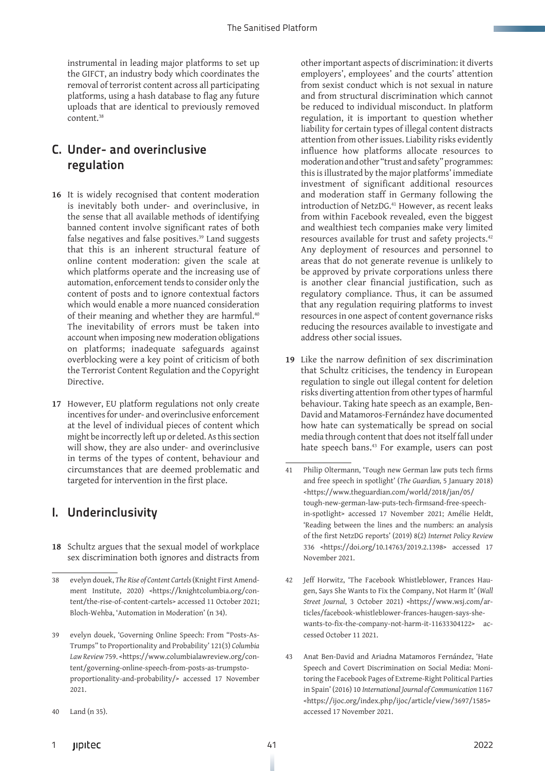instrumental in leading major platforms to set up the GIFCT, an industry body which coordinates the removal of terrorist content across all participating platforms, using a hash database to flag any future uploads that are identical to previously removed content.38

#### C. Under- and overinclusive regulation

- **16** It is widely recognised that content moderation is inevitably both under- and overinclusive, in the sense that all available methods of identifying banned content involve significant rates of both false negatives and false positives.<sup>39</sup> Land suggests that this is an inherent structural feature of online content moderation: given the scale at which platforms operate and the increasing use of automation, enforcement tends to consider only the content of posts and to ignore contextual factors which would enable a more nuanced consideration of their meaning and whether they are harmful.<sup>40</sup> The inevitability of errors must be taken into account when imposing new moderation obligations on platforms; inadequate safeguards against overblocking were a key point of criticism of both the Terrorist Content Regulation and the Copyright Directive.
- **17** However, EU platform regulations not only create incentives for under- and overinclusive enforcement at the level of individual pieces of content which might be incorrectly left up or deleted. As this section will show, they are also under- and overinclusive in terms of the types of content, behaviour and circumstances that are deemed problematic and targeted for intervention in the first place.

## I. Underinclusivity

**18** Schultz argues that the sexual model of workplace sex discrimination both ignores and distracts from

other important aspects of discrimination: it diverts employers', employees' and the courts' attention from sexist conduct which is not sexual in nature and from structural discrimination which cannot be reduced to individual misconduct. In platform regulation, it is important to question whether liability for certain types of illegal content distracts attention from other issues. Liability risks evidently influence how platforms allocate resources to moderation and other "trust and safety" programmes: this is illustrated by the major platforms' immediate investment of significant additional resources and moderation staff in Germany following the introduction of NetzDG.<sup>41</sup> However, as recent leaks from within Facebook revealed, even the biggest and wealthiest tech companies make very limited resources available for trust and safety projects.42 Any deployment of resources and personnel to areas that do not generate revenue is unlikely to be approved by private corporations unless there is another clear financial justification, such as regulatory compliance. Thus, it can be assumed that any regulation requiring platforms to invest resources in one aspect of content governance risks reducing the resources available to investigate and address other social issues.

- **19** Like the narrow definition of sex discrimination that Schultz criticises, the tendency in European regulation to single out illegal content for deletion risks diverting attention from other types of harmful behaviour. Taking hate speech as an example, Ben-David and Matamoros-Fernández have documented how hate can systematically be spread on social media through content that does not itself fall under hate speech bans.<sup>43</sup> For example, users can post
- 41 Philip Oltermann, 'Tough new German law puts tech firms and free speech in spotlight' (*The Guardian,* 5 January 2018) <https://www.theguardian.com/world/2018/jan/05/ tough-new-german-law-puts-tech-firmsand-free-speechin-spotlight> accessed 17 November 2021; Amélie Heldt, 'Reading between the lines and the numbers: an analysis of the first NetzDG reports' (2019) 8(2) *Internet Policy Review*  336 <https://doi.org/10.14763/2019.2.1398> accessed 17 November 2021.
- 42 Jeff Horwitz, 'The Facebook Whistleblower, Frances Haugen, Says She Wants to Fix the Company, Not Harm It' (*Wall Street Journal*, 3 October 2021) <https://www.wsj.com/articles/facebook-whistleblower-frances-haugen-says-shewants-to-fix-the-company-not-harm-it-11633304122> accessed October 11 2021.
- 43 Anat Ben-David and Ariadna Matamoros Fernández, 'Hate Speech and Covert Discrimination on Social Media: Monitoring the Facebook Pages of Extreme-Right Political Parties in Spain' (2016) 10 *International Journal of Communication* 1167 <https://ijoc.org/index.php/ijoc/article/view/3697/1585> accessed 17 November 2021.

<sup>38</sup> evelyn douek, *The Rise of Content Cartels* (Knight First Amendment Institute, 2020) <https://knightcolumbia.org/content/the-rise-of-content-cartels> accessed 11 October 2021; Bloch-Wehba, 'Automation in Moderation' (n 34).

evelyn douek, 'Governing Online Speech: From "Posts-As-Trumps" to Proportionality and Probability' 121(3) *Columbia Law Review* 759. <https://www.columbialawreview.org/content/governing-online-speech-from-posts-as-trumpstoproportionality-and-probability/> accessed 17 November 2021.

<sup>40</sup> Land (n 35).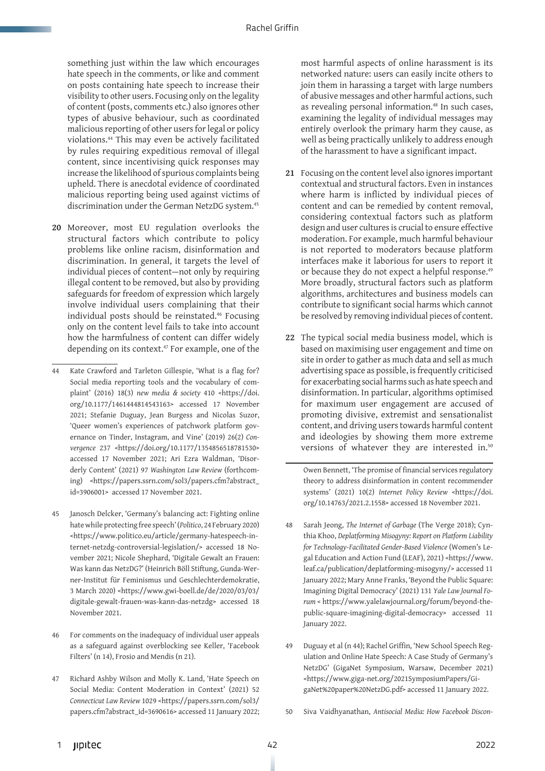something just within the law which encourages hate speech in the comments, or like and comment on posts containing hate speech to increase their visibility to other users. Focusing only on the legality of content (posts, comments etc.) also ignores other types of abusive behaviour, such as coordinated malicious reporting of other users for legal or policy violations.44 This may even be actively facilitated by rules requiring expeditious removal of illegal content, since incentivising quick responses may increase the likelihood of spurious complaints being upheld. There is anecdotal evidence of coordinated malicious reporting being used against victims of discrimination under the German NetzDG system.45

- **20** Moreover, most EU regulation overlooks the structural factors which contribute to policy problems like online racism, disinformation and discrimination. In general, it targets the level of individual pieces of content—not only by requiring illegal content to be removed, but also by providing safeguards for freedom of expression which largely involve individual users complaining that their individual posts should be reinstated.46 Focusing only on the content level fails to take into account how the harmfulness of content can differ widely depending on its context.47 For example, one of the
- 44 Kate Crawford and Tarleton Gillespie, 'What is a flag for? Social media reporting tools and the vocabulary of complaint' (2016) 18(3) *new media & society* 410 <https://doi. org/10.1177/1461444814543163> accessed 17 November 2021; Stefanie Duguay, Jean Burgess and Nicolas Suzor, 'Queer women's experiences of patchwork platform governance on Tinder, Instagram, and Vine' (2019) 26(2) *Convergence* 237 <https://doi.org/10.1177/1354856518781530> accessed 17 November 2021; Ari Ezra Waldman, 'Disorderly Content' (2021) 97 *Washington Law Review* (forthcoming) <https://papers.ssrn.com/sol3/papers.cfm?abstract\_ id=3906001> accessed 17 November 2021.
- 45 Janosch Delcker, 'Germany's balancing act: Fighting online hate while protecting free speech' (*Politico*, 24 February 2020) <https://www.politico.eu/article/germany-hatespeech-internet-netzdg-controversial-legislation/> accessed 18 November 2021; Nicole Shephard, 'Digitale Gewalt an Frauen: Was kann das NetzDG?' (Heinrich Böll Stiftung, Gunda-Werner-Institut für Feminismus und Geschlechterdemokratie, 3 March 2020) <https://www.gwi-boell.de/de/2020/03/03/ digitale-gewalt-frauen-was-kann-das-netzdg> accessed 18 November 2021.
- 46 For comments on the inadequacy of individual user appeals as a safeguard against overblocking see Keller, 'Facebook Filters' (n 14), Frosio and Mendis (n 21).
- 47 Richard Ashby Wilson and Molly K. Land, 'Hate Speech on Social Media: Content Moderation in Context' (2021) 52 *Connecticut Law Review* 1029 <https://papers.ssrn.com/sol3/ papers.cfm?abstract\_id=3690616> accessed 11 January 2022;

most harmful aspects of online harassment is its networked nature: users can easily incite others to join them in harassing a target with large numbers of abusive messages and other harmful actions, such as revealing personal information.<sup>48</sup> In such cases, examining the legality of individual messages may entirely overlook the primary harm they cause, as well as being practically unlikely to address enough of the harassment to have a significant impact.

- **21** Focusing on the content level also ignores important contextual and structural factors. Even in instances where harm is inflicted by individual pieces of content and can be remedied by content removal, considering contextual factors such as platform design and user cultures is crucial to ensure effective moderation. For example, much harmful behaviour is not reported to moderators because platform interfaces make it laborious for users to report it or because they do not expect a helpful response.<sup>49</sup> More broadly, structural factors such as platform algorithms, architectures and business models can contribute to significant social harms which cannot be resolved by removing individual pieces of content.
- **22** The typical social media business model, which is based on maximising user engagement and time on site in order to gather as much data and sell as much advertising space as possible, is frequently criticised for exacerbating social harms such as hate speech and disinformation. In particular, algorithms optimised for maximum user engagement are accused of promoting divisive, extremist and sensationalist content, and driving users towards harmful content and ideologies by showing them more extreme versions of whatever they are interested in.<sup>50</sup>

Owen Bennett, 'The promise of financial services regulatory theory to address disinformation in content recommender systems' (2021) 10(2) *Internet Policy Review* <https://doi. org/10.14763/2021.2.1558> accessed 18 November 2021.

- 48 Sarah Jeong, *The Internet of Garbage* (The Verge 2018); Cynthia Khoo, *Deplatforming Misogyny: Report on Platform Liability for Technology-Facilitated Gender-Based Violence* (Women's Legal Education and Action Fund (LEAF), 2021) <https://www. leaf.ca/publication/deplatforming-misogyny/> accessed 11 January 2022; Mary Anne Franks, 'Beyond the Public Square: Imagining Digital Democracy' (2021) 131 *Yale Law Journal Forum* < https://www.yalelawjournal.org/forum/beyond-thepublic-square-imagining-digital-democracy> accessed 11 January 2022.
- 49 Duguay et al (n 44); Rachel Griffin, 'New School Speech Regulation and Online Hate Speech: A Case Study of Germany's NetzDG' (GigaNet Symposium, Warsaw, December 2021) <https://www.giga-net.org/2021SymposiumPapers/GigaNet%20paper%20NetzDG.pdf> accessed 11 January 2022.
- 50 Siva Vaidhyanathan, *Antisocial Media: How Facebook Discon-*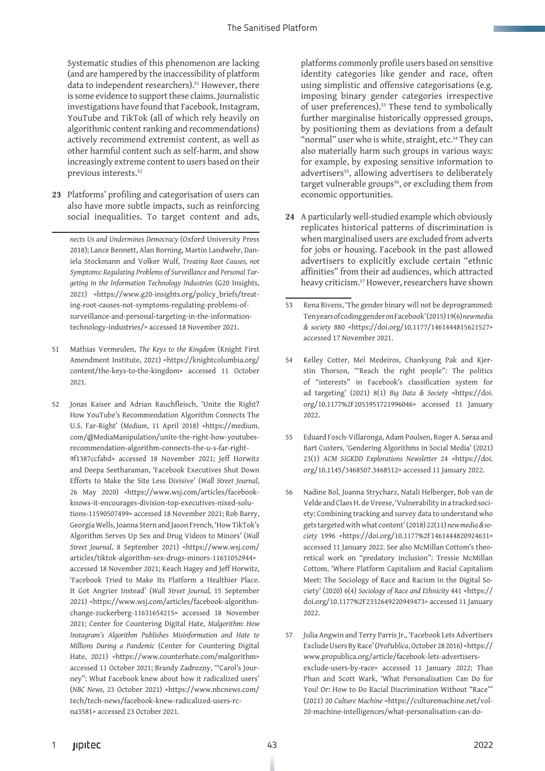Systematic studies of this phenomenon are lacking (and are hampered by the inaccessibility of platform data to independent researchers).<sup>51</sup> However, there is some evidence to support these claims. Journalistic investigations have found that Facebook, Instagram, YouTube and TikTok (all of which rely heavily on algorithmic content ranking and recommendations) actively recommend extremist content, as well as other harmful content such as self-harm, and show increasingly extreme content to users based on their previous interests.<sup>52</sup>

**23** Platforms' profiling and categorisation of users can also have more subtle impacts, such as reinforcing social inequalities. To target content and ads,

*nects Us and Undermines Democracy* (Oxford University Press 2018); Lance Bennett, Alan Borning, Martin Landwehr, Daniela Stockmann and Volker Wulf, *Treating Root Causes, not Symptoms: Regulating Problems of Surveillance and Personal Targeting in the Information Technology Industries* (G20 Insights, 2021) <https://www.g20-insights.org/policy\_briefs/treating-root-causes-not-symptoms-regulating-problems-ofsurveillance-and-personal-targeting-in-the-informationtechnology-industries/> accessed 18 November 2021.

- 51 Mathias Vermeulen, *The Keys to the Kingdom* (Knight First Amendment Institute, 2021) <https://knightcolumbia.org/ content/the-keys-to-the-kingdom> accessed 11 October 2021.
- 52 Jonas Kaiser and Adrian Rauchfleisch, 'Unite the Right? How YouTube's Recommendation Algorithm Connects The U.S. Far-Right' (*Medium*, 11 April 2018) <https://medium. com/@MediaManipulation/unite-the-right-how-youtubesrecommendation-algorithm-connects-the-u-s-far-right-9f1387ccfabd> accessed 18 November 2021; Jeff Horwitz and Deepa Seetharaman, 'Facebook Executives Shut Down Efforts to Make the Site Less Divisive' (*Wall Street Journal*, 26 May 2020) <https://www.wsj.com/articles/facebookknows-it-encourages-division-top-executives-nixed-solutions-11590507499> accessed 18 November 2021; Rob Barry, Georgia Wells, Joanna Stern and Jason French, 'How TikTok's Algorithm Serves Up Sex and Drug Videos to Minors' (*Wall Street Journal*, 8 September 2021) <https://www.wsj.com/ articles/tiktok-algorithm-sex-drugs-minors-11631052944> accessed 18 November 2021; Keach Hagey and Jeff Horwitz, 'Facebook Tried to Make Its Platform a Healthier Place. It Got Angrier Instead' (*Wall Street Journal,* 15 September 2021) <https://www.wsj.com/articles/facebook-algorithmchange-zuckerberg-11631654215> accessed 18 November 2021; Center for Countering Digital Hate, *Malgorithm: How Instagram's Algorithm Publishes Misinformation and Hate to Millions During a Pandemic* (Center for Countering Digital Hate, 2021) <https://www.counterhate.com/malgorithm> accessed 11 October 2021; Brandy Zadrozny, '"Carol's Journey": What Facebook knew about how it radicalized users' (*NBC News*, 23 October 2021) <https://www.nbcnews.com/ tech/tech-news/facebook-knew-radicalized-users-rcna3581> accessed 23 October 2021.

platforms commonly profile users based on sensitive identity categories like gender and race, often using simplistic and offensive categorisations (e.g. imposing binary gender categories irrespective of user preferences).53 These tend to symbolically further marginalise historically oppressed groups, by positioning them as deviations from a default "normal" user who is white, straight, etc.<sup>54</sup> They can also materially harm such groups in various ways: for example, by exposing sensitive information to advertisers<sup>55</sup>, allowing advertisers to deliberately target vulnerable groups<sup>56</sup>, or excluding them from economic opportunities.

- **24** A particularly well-studied example which obviously replicates historical patterns of discrimination is when marginalised users are excluded from adverts for jobs or housing. Facebook in the past allowed advertisers to explicitly exclude certain "ethnic affinities" from their ad audiences, which attracted heavy criticism.57 However, researchers have shown
- 53 Rena Bivens, 'The gender binary will not be deprogrammed: Ten years of coding gender on Facebook' (2015) 19(6) *new media & society* 880 <https://doi.org/10.1177/1461444815621527> accessed 17 November 2021.
- 54 Kelley Cotter, Mel Medeiros, Chankyung Pak and Kjerstin Thorson, '"Reach the right people": The politics of "interests" in Facebook's classification system for ad targeting' (2021) 8(1) *Big Data & Society* <https://doi. org/10.1177%2F2053951721996046> accessed 11 January 2022.
- 55 Eduard Fosch-Villaronga, Adam Poulsen, Roger A. Søraa and Bart Custers, 'Gendering Algorithms in Social Media' (2021) 23(1) *ACM SIGKDD Explorations Newsletter* 24 <https://doi. org/10.1145/3468507.3468512> accessed 11 January 2022.
- 56 Nadine Bol, Joanna Strycharz, Natali Helberger, Bob van de Velde and Claes H. de Vreese, 'Vulnerability in a tracked society: Combining tracking and survey data to understand who gets targeted with what content' (2018) 22(11) *new media & society* 1996 <https://doi.org/10.1177%2F1461444820924631> accessed 11 January 2022. See also McMillan Cottom's theoretical work on "predatory inclusion": Tressie McMillan Cottom, 'Where Platform Capitalism and Racial Capitalism Meet: The Sociology of Race and Racism in the Digital Society' (2020) 6(4) *Sociology of Race and Ethnicity* 441 <https:// doi.org/10.1177%2F2332649220949473> accessed 11 January 2022.
- 57 Julia Angwin and Terry Parris Jr., 'Facebook Lets Advertisers Exclude Users By Race' (*ProPublica*, October 28 2016) <https:// www.propublica.org/article/facebook-lets-advertisersexclude-users-by-race> accessed 11 January 2022; Thao Phan and Scott Wark, 'What Personalisation Can Do for You! Or: How to Do Racial Discrimination Without "Race"' (2021) 20 *Culture Machine* <https://culturemachine.net/vol-20-machine-intelligences/what-personalisation-can-do-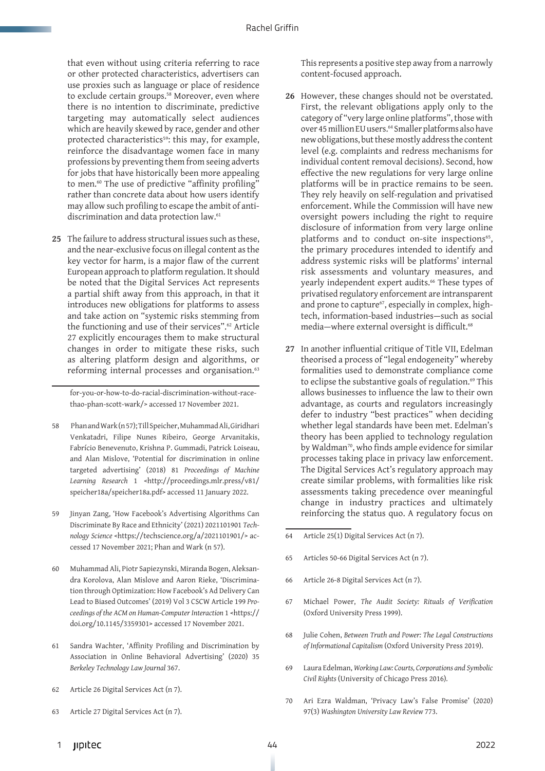that even without using criteria referring to race or other protected characteristics, advertisers can use proxies such as language or place of residence to exclude certain groups.<sup>58</sup> Moreover, even where there is no intention to discriminate, predictive targeting may automatically select audiences which are heavily skewed by race, gender and other protected characteristics<sup>59</sup>: this may, for example, reinforce the disadvantage women face in many professions by preventing them from seeing adverts for jobs that have historically been more appealing to men.<sup>60</sup> The use of predictive "affinity profiling" rather than concrete data about how users identify may allow such profiling to escape the ambit of antidiscrimination and data protection law.<sup>61</sup>

**25** The failure to address structural issues such as these, and the near-exclusive focus on illegal content as the key vector for harm, is a major flaw of the current European approach to platform regulation. It should be noted that the Digital Services Act represents a partial shift away from this approach, in that it introduces new obligations for platforms to assess and take action on "systemic risks stemming from the functioning and use of their services".<sup>62</sup> Article 27 explicitly encourages them to make structural changes in order to mitigate these risks, such as altering platform design and algorithms, or reforming internal processes and organisation.<sup>63</sup>

for-you-or-how-to-do-racial-discrimination-without-racethao-phan-scott-wark/> accessed 17 November 2021.

- 58 Phan and Wark (n 57); Till Speicher, Muhammad Ali, Giridhari Venkatadri, Filipe Nunes Ribeiro, George Arvanitakis, Fabrício Benevenuto, Krishna P. Gummadi, Patrick Loiseau, and Alan Mislove, 'Potential for discrimination in online targeted advertising' (2018) 81 *Proceedings of Machine Learning Research* 1 <http://proceedings.mlr.press/v81/ speicher18a/speicher18a.pdf> accessed 11 January 2022.
- 59 Jinyan Zang, 'How Facebook's Advertising Algorithms Can Discriminate By Race and Ethnicity' (2021) 2021101901 *Technology Science* <https://techscience.org/a/2021101901/> accessed 17 November 2021; Phan and Wark (n 57).
- 60 Muhammad Ali, Piotr Sapiezynski, Miranda Bogen, Aleksandra Korolova, Alan Mislove and Aaron Rieke, 'Discrimination through Optimization: How Facebook's Ad Delivery Can Lead to Biased Outcomes' (2019) Vol 3 CSCW Article 199 *Proceedings of the ACM on Human-Computer Interaction* 1 <https:// doi.org/10.1145/3359301> accessed 17 November 2021.
- 61 Sandra Wachter, 'Affinity Profiling and Discrimination by Association in Online Behavioral Advertising' (2020) 35 *Berkeley Technology Law Journal* 367.
- 62 Article 26 Digital Services Act (n 7).
- 63 Article 27 Digital Services Act (n 7).

This represents a positive step away from a narrowly content-focused approach.

- **26** However, these changes should not be overstated. First, the relevant obligations apply only to the category of "very large online platforms", those with over 45 million EU users.<sup>64</sup> Smaller platforms also have new obligations, but these mostly address the content level (e.g. complaints and redress mechanisms for individual content removal decisions). Second, how effective the new regulations for very large online platforms will be in practice remains to be seen. They rely heavily on self-regulation and privatised enforcement. While the Commission will have new oversight powers including the right to require disclosure of information from very large online platforms and to conduct on-site inspections $65$ , the primary procedures intended to identify and address systemic risks will be platforms' internal risk assessments and voluntary measures, and yearly independent expert audits.<sup>66</sup> These types of privatised regulatory enforcement are intransparent and prone to capture<sup>67</sup>, especially in complex, hightech, information-based industries—such as social media-where external oversight is difficult.<sup>68</sup>
- **27** In another influential critique of Title VII, Edelman theorised a process of "legal endogeneity" whereby formalities used to demonstrate compliance come to eclipse the substantive goals of regulation.<sup>69</sup> This allows businesses to influence the law to their own advantage, as courts and regulators increasingly defer to industry "best practices" when deciding whether legal standards have been met. Edelman's theory has been applied to technology regulation by Waldman<sup>70</sup>, who finds ample evidence for similar processes taking place in privacy law enforcement. The Digital Services Act's regulatory approach may create similar problems, with formalities like risk assessments taking precedence over meaningful change in industry practices and ultimately reinforcing the status quo. A regulatory focus on
- 64 Article 25(1) Digital Services Act (n 7).
- 65 Articles 50-66 Digital Services Act (n 7).
- 66 Article 26-8 Digital Services Act (n 7).
- 67 Michael Power, *The Audit Society: Rituals of Verification*  (Oxford University Press 1999).
- 68 Julie Cohen, *Between Truth and Power: The Legal Constructions of Informational Capitalism* (Oxford University Press 2019).
- 69 Laura Edelman, *Working Law: Courts, Corporations and Symbolic Civil Rights* (University of Chicago Press 2016)*.*
- 70 Ari Ezra Waldman, 'Privacy Law's False Promise' (2020) 97(3) *Washington University Law Review* 773.
- **Jipitec 44 and 44 and 44 and 44 and 44 and 44 and 44 and 44 and 44 and 44 and 44 and 44 and 44 and 44 and 44 a**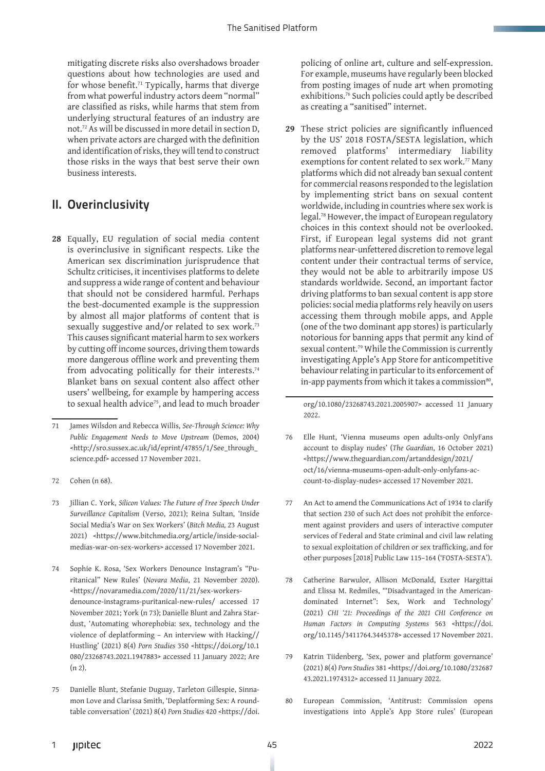mitigating discrete risks also overshadows broader questions about how technologies are used and for whose benefit.<sup>71</sup> Typically, harms that diverge from what powerful industry actors deem "normal" are classified as risks, while harms that stem from underlying structural features of an industry are not.72 As will be discussed in more detail in section D, when private actors are charged with the definition and identification of risks, they will tend to construct those risks in the ways that best serve their own business interests.

#### II. Overinclusivity

**28** Equally, EU regulation of social media content is overinclusive in significant respects. Like the American sex discrimination jurisprudence that Schultz criticises, it incentivises platforms to delete and suppress a wide range of content and behaviour that should not be considered harmful. Perhaps the best-documented example is the suppression by almost all major platforms of content that is sexually suggestive and/or related to sex work.<sup>73</sup> This causes significant material harm to sex workers by cutting off income sources, driving them towards more dangerous offline work and preventing them from advocating politically for their interests.<sup>74</sup> Blanket bans on sexual content also affect other users' wellbeing, for example by hampering access to sexual health advice<sup>75</sup>, and lead to much broader

- 73 Jillian C. York, *Silicon Values: The Future of Free Speech Under Surveillance Capitalism* (Verso, 2021); Reina Sultan, 'Inside Social Media's War on Sex Workers' (*Bitch Media,* 23 August 2021) <https://www.bitchmedia.org/article/inside-socialmedias-war-on-sex-workers> accessed 17 November 2021.
- 74 Sophie K. Rosa, 'Sex Workers Denounce Instagram's "Puritanical" New Rules' (*Novara Media*, 21 November 2020). <https://novaramedia.com/2020/11/21/sex-workersdenounce-instagrams-puritanical-new-rules/ accessed 17 November 2021; York (n 73); Danielle Blunt and Zahra Stardust, 'Automating whorephobia: sex, technology and the violence of deplatforming – An interview with Hacking// Hustling' (2021) 8(4) *Porn Studies* 350 <https://doi.org/10.1 080/23268743.2021.1947883> accessed 11 January 2022; Are (n 2).
- 75 Danielle Blunt, Stefanie Duguay, Tarleton Gillespie, Sinnamon Love and Clarissa Smith, 'Deplatforming Sex: A roundtable conversation' (2021) 8(4) *Porn Studies* 420 <https://doi.

policing of online art, culture and self-expression. For example, museums have regularly been blocked from posting images of nude art when promoting exhibitions.76 Such policies could aptly be described as creating a "sanitised" internet.

**29** These strict policies are significantly influenced by the US' 2018 FOSTA/SESTA legislation, which removed platforms' intermediary liability exemptions for content related to sex work.<sup>77</sup> Many platforms which did not already ban sexual content for commercial reasons responded to the legislation by implementing strict bans on sexual content worldwide, including in countries where sex work is legal.78 However, the impact of European regulatory choices in this context should not be overlooked. First, if European legal systems did not grant platforms near-unfettered discretion to remove legal content under their contractual terms of service, they would not be able to arbitrarily impose US standards worldwide. Second, an important factor driving platforms to ban sexual content is app store policies: social media platforms rely heavily on users accessing them through mobile apps, and Apple (one of the two dominant app stores) is particularly notorious for banning apps that permit any kind of sexual content.79 While the Commission is currently investigating Apple's App Store for anticompetitive behaviour relating in particular to its enforcement of in-app payments from which it takes a commission<sup>80</sup>,

org/10.1080/23268743.2021.2005907> accessed 11 January 2022.

- 76 Elle Hunt, 'Vienna museums open adults-only OnlyFans account to display nudes' (*The Guardian*, 16 October 2021) <https://www.theguardian.com/artanddesign/2021/ oct/16/vienna-museums-open-adult-only-onlyfans-account-to-display-nudes> accessed 17 November 2021.
- 77 An Act to amend the Communications Act of 1934 to clarify that section 230 of such Act does not prohibit the enforcement against providers and users of interactive computer services of Federal and State criminal and civil law relating to sexual exploitation of children or sex trafficking, and for other purposes [2018] Public Law 115–164 ('FOSTA-SESTA').
- 78 Catherine Barwulor, Allison McDonald, Eszter Hargittai and Elissa M. Redmiles, '"Disadvantaged in the Americandominated Internet": Sex, Work and Technology' (2021) *CHI '21: Proceedings of the 2021 CHI Conference on Human Factors in Computing Systems* 563 <https://doi. org/10.1145/3411764.3445378> accessed 17 November 2021.
- 79 Katrin Tiidenberg, 'Sex, power and platform governance' (2021) 8(4) *Porn Studies* 381 <https://doi.org/10.1080/232687 43.2021.1974312> accessed 11 January 2022.
- 80 European Commission, 'Antitrust: Commission opens investigations into Apple's App Store rules' (European

<sup>71</sup> James Wilsdon and Rebecca Willis, *See-Through Science: Why Public Engagement Needs to Move Upstream* (Demos, 2004) <http://sro.sussex.ac.uk/id/eprint/47855/1/See\_through\_ science.pdf> accessed 17 November 2021.

<sup>72</sup> Cohen (n 68).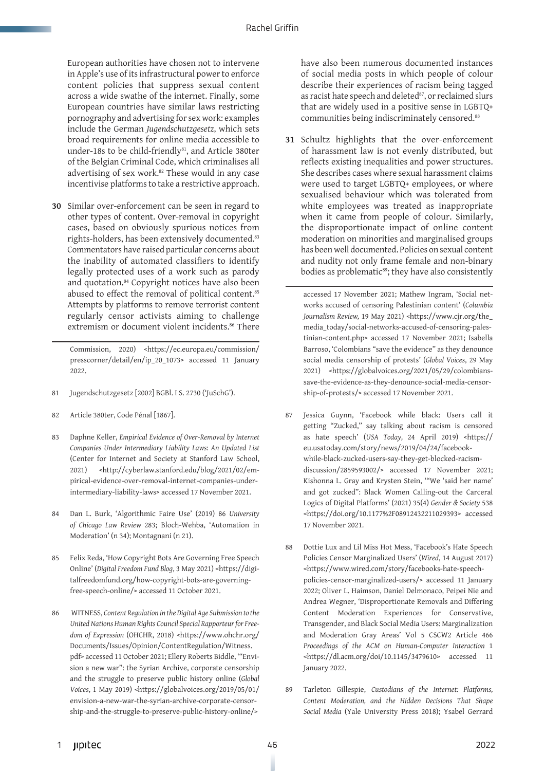European authorities have chosen not to intervene in Apple's use of its infrastructural power to enforce content policies that suppress sexual content across a wide swathe of the internet. Finally, some European countries have similar laws restricting pornography and advertising for sex work: examples include the German *Jugendschutzgesetz*, which sets broad requirements for online media accessible to under-18s to be child-friendly<sup>81</sup>, and Article 380ter of the Belgian Criminal Code, which criminalises all advertising of sex work.82 These would in any case incentivise platforms to take a restrictive approach.

**30** Similar over-enforcement can be seen in regard to other types of content. Over-removal in copyright cases, based on obviously spurious notices from rights-holders, has been extensively documented.<sup>83</sup> Commentators have raised particular concerns about the inability of automated classifiers to identify legally protected uses of a work such as parody and quotation.84 Copyright notices have also been abused to effect the removal of political content.<sup>85</sup> Attempts by platforms to remove terrorist content regularly censor activists aiming to challenge extremism or document violent incidents.<sup>86</sup> There

Commission, 2020) <https://ec.europa.eu/commission/ presscorner/detail/en/ip\_20\_1073> accessed 11 January 2022.

- 81 Jugendschutzgesetz [2002] BGBl. I S. 2730 ('JuSchG').
- 82 Article 380ter, Code Pénal [1867].
- 83 Daphne Keller, *Empirical Evidence of Over-Removal by Internet Companies Under Intermediary Liability Laws: An Updated List* (Center for Internet and Society at Stanford Law School, 2021) <http://cyberlaw.stanford.edu/blog/2021/02/empirical-evidence-over-removal-internet-companies-underintermediary-liability-laws> accessed 17 November 2021.
- 84 Dan L. Burk, 'Algorithmic Faire Use' (2019) 86 *University of Chicago Law Review* 283; Bloch-Wehba, 'Automation in Moderation' (n 34); Montagnani (n 21).
- 85 Felix Reda, 'How Copyright Bots Are Governing Free Speech Online' (*Digital Freedom Fund Blog*, 3 May 2021) <https://digitalfreedomfund.org/how-copyright-bots-are-governingfree-speech-online/> accessed 11 October 2021.
- 86 WITNESS, *Content Regulation in the Digital Age Submission to the United Nations Human Rights Council Special Rapporteur for Freedom of Expression* (OHCHR, 2018) <https://www.ohchr.org/ Documents/Issues/Opinion/ContentRegulation/Witness. pdf> accessed 11 October 2021; Ellery Roberts Biddle, '"Envision a new war": the Syrian Archive, corporate censorship and the struggle to preserve public history online (*Global Voices*, 1 May 2019) <https://globalvoices.org/2019/05/01/ envision-a-new-war-the-syrian-archive-corporate-censorship-and-the-struggle-to-preserve-public-history-online/>

have also been numerous documented instances of social media posts in which people of colour describe their experiences of racism being tagged as racist hate speech and deleted<sup>87</sup>, or reclaimed slurs that are widely used in a positive sense in LGBTQ+ communities being indiscriminately censored.<sup>88</sup>

**31** Schultz highlights that the over-enforcement of harassment law is not evenly distributed, but reflects existing inequalities and power structures. She describes cases where sexual harassment claims were used to target LGBTQ+ employees, or where sexualised behaviour which was tolerated from white employees was treated as inappropriate when it came from people of colour. Similarly, the disproportionate impact of online content moderation on minorities and marginalised groups has been well documented. Policies on sexual content and nudity not only frame female and non-binary bodies as problematic<sup>89</sup>; they have also consistently

accessed 17 November 2021; Mathew Ingram, 'Social networks accused of censoring Palestinian content' (*Columbia Journalism Review,* 19 May 2021) <https://www.cjr.org/the\_ media\_today/social-networks-accused-of-censoring-palestinian-content.php> accessed 17 November 2021; Isabella Barroso, 'Colombians "save the evidence" as they denounce social media censorship of protests' (*Global Voices*, 29 May 2021) <https://globalvoices.org/2021/05/29/colombianssave-the-evidence-as-they-denounce-social-media-censorship-of-protests/> accessed 17 November 2021.

- 87 Jessica Guynn, 'Facebook while black: Users call it getting "Zucked," say talking about racism is censored as hate speech' (*USA Today,* 24 April 2019) <https:// eu.usatoday.com/story/news/2019/04/24/facebookwhile-black-zucked-users-say-they-get-blocked-racismdiscussion/2859593002/> accessed 17 November 2021; Kishonna L. Gray and Krysten Stein, '"We 'said her name' and got zucked": Black Women Calling-out the Carceral Logics of Digital Platforms' (2021) 35(4) *Gender & Society* 538 <https://doi.org/10.1177%2F08912432211029393> accessed 17 November 2021.
- 88 Dottie Lux and Lil Miss Hot Mess, 'Facebook's Hate Speech Policies Censor Marginalized Users' (*Wired*, 14 August 2017) <https://www.wired.com/story/facebooks-hate-speechpolicies-censor-marginalized-users/> accessed 11 January 2022; Oliver L. Haimson, Daniel Delmonaco, Peipei Nie and Andrea Wegner, 'Disproportionate Removals and Differing Content Moderation Experiences for Conservative, Transgender, and Black Social Media Users: Marginalization and Moderation Gray Areas' Vol 5 CSCW2 Article 466 *Proceedings of the ACM on Human-Computer Interaction* 1 <https://dl.acm.org/doi/10.1145/3479610> accessed 11 January 2022.
- 89 Tarleton Gillespie, *Custodians of the Internet: Platforms, Content Moderation, and the Hidden Decisions That Shape Social Media* (Yale University Press 2018); Ysabel Gerrard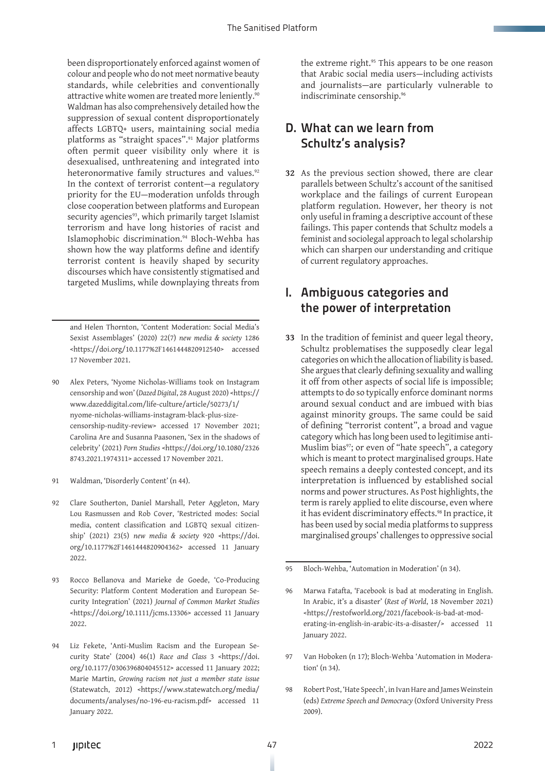been disproportionately enforced against women of colour and people who do not meet normative beauty standards, while celebrities and conventionally attractive white women are treated more leniently.<sup>90</sup> Waldman has also comprehensively detailed how the suppression of sexual content disproportionately affects LGBTQ+ users, maintaining social media platforms as "straight spaces".<sup>91</sup> Major platforms often permit queer visibility only where it is desexualised, unthreatening and integrated into heteronormative family structures and values.<sup>92</sup> In the context of terrorist content—a regulatory priority for the EU—moderation unfolds through close cooperation between platforms and European security agencies<sup>93</sup>, which primarily target Islamist terrorism and have long histories of racist and Islamophobic discrimination.<sup>94</sup> Bloch-Wehba has shown how the way platforms define and identify terrorist content is heavily shaped by security discourses which have consistently stigmatised and targeted Muslims, while downplaying threats from

and Helen Thornton, 'Content Moderation: Social Media's Sexist Assemblages' (2020) 22(7) *new media & society* 1286 <https://doi.org/10.1177%2F1461444820912540> accessed 17 November 2021.

- 90 Alex Peters, 'Nyome Nicholas-Williams took on Instagram censorship and won' (*Dazed Digital*, 28 August 2020) <https:// www.dazeddigital.com/life-culture/article/50273/1/ nyome-nicholas-williams-instagram-black-plus-sizecensorship-nudity-review> accessed 17 November 2021; Carolina Are and Susanna Paasonen, 'Sex in the shadows of celebrity' (2021) *Porn Studies* <https://doi.org/10.1080/2326 8743.2021.1974311> accessed 17 November 2021.
- 91 Waldman, 'Disorderly Content' (n 44).
- 92 Clare Southerton, Daniel Marshall, Peter Aggleton, Mary Lou Rasmussen and Rob Cover, 'Restricted modes: Social media, content classification and LGBTQ sexual citizenship' (2021) 23(5) *new media & society* 920 <https://doi. org/10.1177%2F1461444820904362> accessed 11 January 2022.
- 93 Rocco Bellanova and Marieke de Goede, 'Co-Producing Security: Platform Content Moderation and European Security Integration' (2021) *Journal of Common Market Studies*  <https://doi.org/10.1111/jcms.13306> accessed 11 January 2022.
- 94 Liz Fekete, 'Anti-Muslim Racism and the European Security State' (2004) 46(1) *Race and Class* 3 <https://doi. org/10.1177/0306396804045512> accessed 11 January 2022; Marie Martin, *Growing racism not just a member state issue*  (Statewatch, 2012) <https://www.statewatch.org/media/ documents/analyses/no-196-eu-racism.pdf> accessed 11 January 2022.

the extreme right.<sup>95</sup> This appears to be one reason that Arabic social media users—including activists and journalists—are particularly vulnerable to indiscriminate censorship.96

#### D. What can we learn from Schultz's analysis?

**32** As the previous section showed, there are clear parallels between Schultz's account of the sanitised workplace and the failings of current European platform regulation. However, her theory is not only useful in framing a descriptive account of these failings. This paper contends that Schultz models a feminist and sociolegal approach to legal scholarship which can sharpen our understanding and critique of current regulatory approaches.

#### I. Ambiguous categories and the power of interpretation

**33** In the tradition of feminist and queer legal theory, Schultz problematises the supposedly clear legal categories on which the allocation of liability is based. She argues that clearly defining sexuality and walling it off from other aspects of social life is impossible; attempts to do so typically enforce dominant norms around sexual conduct and are imbued with bias against minority groups. The same could be said of defining "terrorist content", a broad and vague category which has long been used to legitimise anti-Muslim bias<sup>97</sup>; or even of "hate speech", a category which is meant to protect marginalised groups. Hate speech remains a deeply contested concept, and its interpretation is influenced by established social norms and power structures. As Post highlights, the term is rarely applied to elite discourse, even where it has evident discriminatory effects.<sup>98</sup> In practice, it has been used by social media platforms to suppress marginalised groups' challenges to oppressive social

- 97 Van Hoboken (n 17); Bloch-Wehba 'Automation in Moderation' (n 34).
- 98 Robert Post, 'Hate Speech', in Ivan Hare and James Weinstein (eds) *Extreme Speech and Democracy* (Oxford University Press 2009).

<sup>95</sup> Bloch-Wehba, 'Automation in Moderation' (n 34).

<sup>96</sup> Marwa Fatafta, 'Facebook is bad at moderating in English. In Arabic, it's a disaster' (*Rest of World*, 18 November 2021) <https://restofworld.org/2021/facebook-is-bad-at-moderating-in-english-in-arabic-its-a-disaster/> accessed 11 January 2022.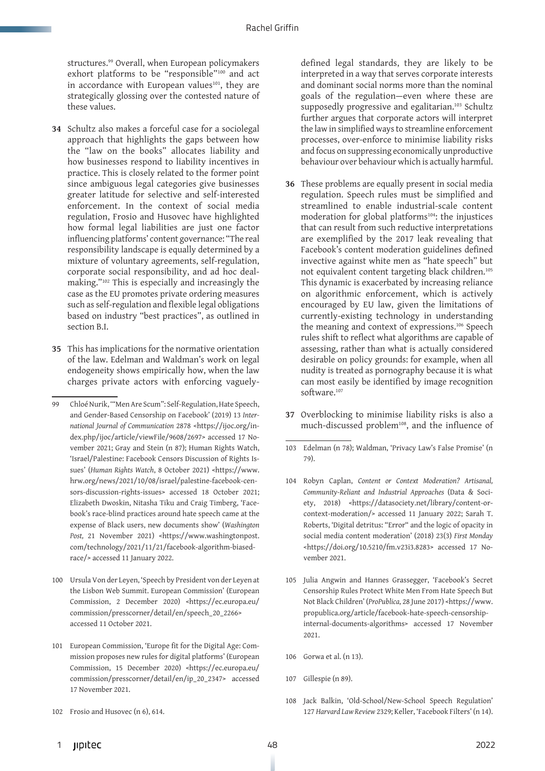structures.<sup>99</sup> Overall, when European policymakers exhort platforms to be "responsible"100 and act in accordance with European values<sup>101</sup>, they are strategically glossing over the contested nature of these values.

- **34** Schultz also makes a forceful case for a sociolegal approach that highlights the gaps between how the "law on the books" allocates liability and how businesses respond to liability incentives in practice. This is closely related to the former point since ambiguous legal categories give businesses greater latitude for selective and self-interested enforcement. In the context of social media regulation, Frosio and Husovec have highlighted how formal legal liabilities are just one factor influencing platforms' content governance: "The real responsibility landscape is equally determined by a mixture of voluntary agreements, self-regulation, corporate social responsibility, and ad hoc dealmaking."102 This is especially and increasingly the case as the EU promotes private ordering measures such as self-regulation and flexible legal obligations based on industry "best practices", as outlined in section B.I.
- **35** This has implications for the normative orientation of the law. Edelman and Waldman's work on legal endogeneity shows empirically how, when the law charges private actors with enforcing vaguely-

- 100 Ursula Von der Leyen, 'Speech by President von der Leyen at the Lisbon Web Summit. European Commission' (European Commission, 2 December 2020) <https://ec.europa.eu/ commission/presscorner/detail/en/speech\_20\_2266> accessed 11 October 2021.
- 101 European Commission, 'Europe fit for the Digital Age: Commission proposes new rules for digital platforms' (European Commission, 15 December 2020) <https://ec.europa.eu/ commission/presscorner/detail/en/ip\_20\_2347> accessed 17 November 2021.
- 102 Frosio and Husovec (n 6), 614.

defined legal standards, they are likely to be interpreted in a way that serves corporate interests and dominant social norms more than the nominal goals of the regulation—even where these are supposedly progressive and egalitarian.<sup>103</sup> Schultz further argues that corporate actors will interpret the law in simplified ways to streamline enforcement processes, over-enforce to minimise liability risks and focus on suppressing economically unproductive behaviour over behaviour which is actually harmful.

- **36** These problems are equally present in social media regulation. Speech rules must be simplified and streamlined to enable industrial-scale content moderation for global platforms<sup>104</sup>: the injustices that can result from such reductive interpretations are exemplified by the 2017 leak revealing that Facebook's content moderation guidelines defined invective against white men as "hate speech" but not equivalent content targeting black children.105 This dynamic is exacerbated by increasing reliance on algorithmic enforcement, which is actively encouraged by EU law, given the limitations of currently-existing technology in understanding the meaning and context of expressions.106 Speech rules shift to reflect what algorithms are capable of assessing, rather than what is actually considered desirable on policy grounds: for example, when all nudity is treated as pornography because it is what can most easily be identified by image recognition software.<sup>107</sup>
- **37** Overblocking to minimise liability risks is also a much-discussed problem<sup>108</sup>, and the influence of
- 103 Edelman (n 78); Waldman, 'Privacy Law's False Promise' (n 79).
- 104 Robyn Caplan, *Content or Context Moderation? Artisanal, Community-Reliant and Industrial Approaches* (Data & Society, 2018) <https://datasociety.net/library/content-orcontext-moderation/> accessed 11 January 2022; Sarah T. Roberts, 'Digital detritus: "Error" and the logic of opacity in social media content moderation' (2018) 23(3) *First Monday* <https://doi.org/10.5210/fm.v23i3.8283> accessed 17 November 2021.
- 105 Julia Angwin and Hannes Grassegger, 'Facebook's Secret Censorship Rules Protect White Men From Hate Speech But Not Black Children' (*ProPublica,* 28 June 2017) <https://www. propublica.org/article/facebook-hate-speech-censorshipinternal-documents-algorithms> accessed 17 November 2021.
- 106 Gorwa et al. (n 13).
- 107 Gillespie (n 89).
- 108 Jack Balkin, 'Old-School/New-School Speech Regulation' 127 *Harvard Law Review* 2329; Keller, 'Facebook Filters' (n 14).

<sup>99</sup> Chloé Nurik, '"Men Are Scum": Self-Regulation, Hate Speech, and Gender-Based Censorship on Facebook' (2019) 13 *International Journal of Communication* 2878 <https://ijoc.org/index.php/ijoc/article/viewFile/9608/2697> accessed 17 November 2021; Gray and Stein (n 87); Human Rights Watch, 'Israel/Palestine: Facebook Censors Discussion of Rights Issues' (*Human Rights Watch*, 8 October 2021) <https://www. hrw.org/news/2021/10/08/israel/palestine-facebook-censors-discussion-rights-issues> accessed 18 October 2021; Elizabeth Dwoskin, Nitasha Tiku and Craig Timberg, 'Facebook's race-blind practices around hate speech came at the expense of Black users, new documents show' (*Washington*  Post, 21 November 2021) <https://www.washingtonpost. com/technology/2021/11/21/facebook-algorithm-biasedrace/> accessed 11 January 2022.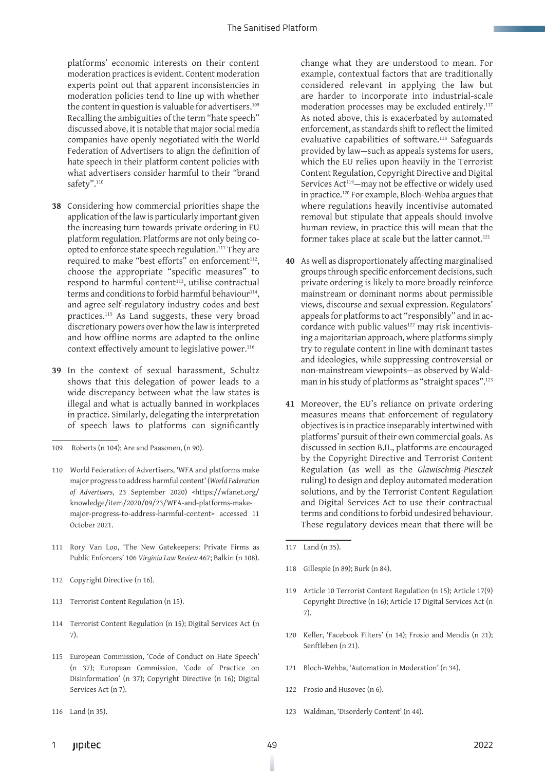platforms' economic interests on their content moderation practices is evident. Content moderation experts point out that apparent inconsistencies in moderation policies tend to line up with whether the content in question is valuable for advertisers.<sup>109</sup> Recalling the ambiguities of the term "hate speech" discussed above, it is notable that major social media companies have openly negotiated with the World Federation of Advertisers to align the definition of hate speech in their platform content policies with what advertisers consider harmful to their "brand safety".<sup>110</sup>

- **38** Considering how commercial priorities shape the application of the law is particularly important given the increasing turn towards private ordering in EU platform regulation. Platforms are not only being coopted to enforce state speech regulation.111 They are required to make "best efforts" on enforcement<sup>112</sup>, choose the appropriate "specific measures" to respond to harmful content<sup>113</sup>, utilise contractual terms and conditions to forbid harmful behaviour<sup>114</sup>, and agree self-regulatory industry codes and best practices.115 As Land suggests, these very broad discretionary powers over how the law is interpreted and how offline norms are adapted to the online context effectively amount to legislative power.<sup>116</sup>
- **39** In the context of sexual harassment, Schultz shows that this delegation of power leads to a wide discrepancy between what the law states is illegal and what is actually banned in workplaces in practice. Similarly, delegating the interpretation of speech laws to platforms can significantly

- 111 Rory Van Loo, 'The New Gatekeepers: Private Firms as Public Enforcers' 106 *Virginia Law Review* 467; Balkin (n 108).
- 112 Copyright Directive (n 16).
- 113 Terrorist Content Regulation (n 15).
- 114 Terrorist Content Regulation (n 15); Digital Services Act (n 7).
- 115 European Commission, 'Code of Conduct on Hate Speech' (n 37); European Commission, 'Code of Practice on Disinformation' (n 37); Copyright Directive (n 16); Digital Services Act (n 7).
- 116 Land (n 35).

change what they are understood to mean. For example, contextual factors that are traditionally considered relevant in applying the law but are harder to incorporate into industrial-scale moderation processes may be excluded entirely.117 As noted above, this is exacerbated by automated enforcement, as standards shift to reflect the limited evaluative capabilities of software.<sup>118</sup> Safeguards provided by law—such as appeals systems for users, which the EU relies upon heavily in the Terrorist Content Regulation, Copyright Directive and Digital Services Act<sup>119</sup>-may not be effective or widely used in practice.120 For example, Bloch-Wehba argues that where regulations heavily incentivise automated removal but stipulate that appeals should involve human review, in practice this will mean that the former takes place at scale but the latter cannot.<sup>121</sup>

- **40** As well as disproportionately affecting marginalised groups through specific enforcement decisions, such private ordering is likely to more broadly reinforce mainstream or dominant norms about permissible views, discourse and sexual expression. Regulators' appeals for platforms to act "responsibly" and in accordance with public values<sup>122</sup> may risk incentivising a majoritarian approach, where platforms simply try to regulate content in line with dominant tastes and ideologies, while suppressing controversial or non-mainstream viewpoints—as observed by Waldman in his study of platforms as "straight spaces".123
- **41** Moreover, the EU's reliance on private ordering measures means that enforcement of regulatory objectives is in practice inseparably intertwined with platforms' pursuit of their own commercial goals. As discussed in section B.II., platforms are encouraged by the Copyright Directive and Terrorist Content Regulation (as well as the *Glawischnig-Piesczek*  ruling) to design and deploy automated moderation solutions, and by the Terrorist Content Regulation and Digital Services Act to use their contractual terms and conditions to forbid undesired behaviour. These regulatory devices mean that there will be

- 118 Gillespie (n 89); Burk (n 84).
- 119 Article 10 Terrorist Content Regulation (n 15); Article 17(9) Copyright Directive (n 16); Article 17 Digital Services Act (n 7).
- 120 Keller, 'Facebook Filters' (n 14); Frosio and Mendis (n 21); Senftleben (n 21).
- 121 Bloch-Wehba, 'Automation in Moderation' (n 34).
- 122 Frosio and Husovec (n 6).
- 123 Waldman, 'Disorderly Content' (n 44).

<sup>109</sup> Roberts (n 104); Are and Paasonen, (n 90).

<sup>110</sup> World Federation of Advertisers, 'WFA and platforms make major progress to address harmful content' (*World Federation of Advertisers*, 23 September 2020) <https://wfanet.org/ knowledge/item/2020/09/23/WFA-and-platforms-makemajor-progress-to-address-harmful-content> accessed 11 October 2021.

<sup>117</sup> Land (n 35).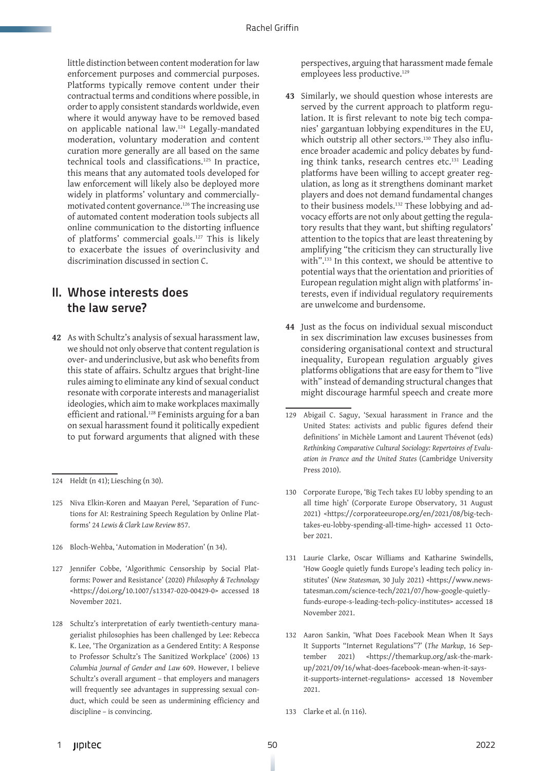little distinction between content moderation for law enforcement purposes and commercial purposes. Platforms typically remove content under their contractual terms and conditions where possible, in order to apply consistent standards worldwide, even where it would anyway have to be removed based on applicable national law.124 Legally-mandated moderation, voluntary moderation and content curation more generally are all based on the same technical tools and classifications.125 In practice, this means that any automated tools developed for law enforcement will likely also be deployed more widely in platforms' voluntary and commerciallymotivated content governance.126 The increasing use of automated content moderation tools subjects all online communication to the distorting influence of platforms' commercial goals.127 This is likely to exacerbate the issues of overinclusivity and discrimination discussed in section C.

#### II. Whose interests does the law serve?

**42** As with Schultz's analysis of sexual harassment law, we should not only observe that content regulation is over- and underinclusive, but ask who benefits from this state of affairs. Schultz argues that bright-line rules aiming to eliminate any kind of sexual conduct resonate with corporate interests and managerialist ideologies, which aim to make workplaces maximally efficient and rational.<sup>128</sup> Feminists arguing for a ban on sexual harassment found it politically expedient to put forward arguments that aligned with these

- 125 Niva Elkin-Koren and Maayan Perel, 'Separation of Functions for AI: Restraining Speech Regulation by Online Platforms' 24 *Lewis & Clark Law Review* 857.
- 126 Bloch-Wehba, 'Automation in Moderation' (n 34).
- 127 Jennifer Cobbe, 'Algorithmic Censorship by Social Platforms: Power and Resistance' (2020) *Philosophy & Technology*  <https://doi.org/10.1007/s13347-020-00429-0> accessed 18 November 2021.
- 128 Schultz's interpretation of early twentieth-century managerialist philosophies has been challenged by Lee: Rebecca K. Lee, 'The Organization as a Gendered Entity: A Response to Professor Schultz's The Sanitized Workplace' (2006) 13 *Columbia Journal of Gender and Law* 609. However, I believe Schultz's overall argument – that employers and managers will frequently see advantages in suppressing sexual conduct, which could be seen as undermining efficiency and discipline – is convincing.

perspectives, arguing that harassment made female employees less productive.<sup>129</sup>

- **43** Similarly, we should question whose interests are served by the current approach to platform regulation. It is first relevant to note big tech companies' gargantuan lobbying expenditures in the EU, which outstrip all other sectors.<sup>130</sup> They also influence broader academic and policy debates by funding think tanks, research centres etc.131 Leading platforms have been willing to accept greater regulation, as long as it strengthens dominant market players and does not demand fundamental changes to their business models.<sup>132</sup> These lobbying and advocacy efforts are not only about getting the regulatory results that they want, but shifting regulators' attention to the topics that are least threatening by amplifying "the criticism they can structurally live with".133 In this context, we should be attentive to potential ways that the orientation and priorities of European regulation might align with platforms' interests, even if individual regulatory requirements are unwelcome and burdensome.
- **44** Just as the focus on individual sexual misconduct in sex discrimination law excuses businesses from considering organisational context and structural inequality, European regulation arguably gives platforms obligations that are easy for them to "live with" instead of demanding structural changes that might discourage harmful speech and create more

- 130 Corporate Europe, 'Big Tech takes EU lobby spending to an all time high' (Corporate Europe Observatory, 31 August 2021) <https://corporateeurope.org/en/2021/08/big-techtakes-eu-lobby-spending-all-time-high> accessed 11 October 2021.
- 131 Laurie Clarke, Oscar Williams and Katharine Swindells, 'How Google quietly funds Europe's leading tech policy institutes' (*New Statesman,* 30 July 2021) <https://www.newstatesman.com/science-tech/2021/07/how-google-quietlyfunds-europe-s-leading-tech-policy-institutes> accessed 18 November 2021.
- 132 Aaron Sankin, 'What Does Facebook Mean When It Says It Supports "Internet Regulations"?' (*The Markup*, 16 September 2021) <https://themarkup.org/ask-the-markup/2021/09/16/what-does-facebook-mean-when-it-saysit-supports-internet-regulations> accessed 18 November 2021.
- 133 Clarke et al. (n 116).

<sup>124</sup> Heldt (n 41); Liesching (n 30).

<sup>129</sup> Abigail C. Saguy, 'Sexual harassment in France and the United States: activists and public figures defend their definitions' in Michèle Lamont and Laurent Thévenot (eds) *Rethinking Comparative Cultural Sociology: Repertoires of Evaluation in France and the United States* (Cambridge University Press 2010).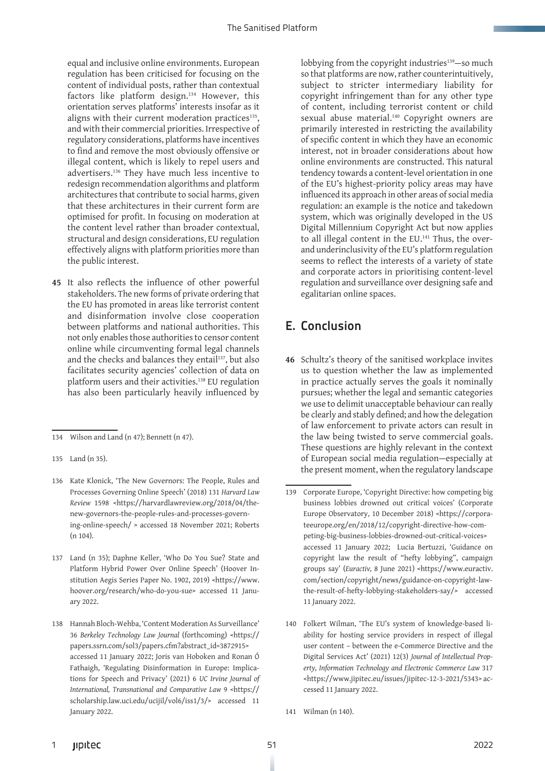equal and inclusive online environments. European regulation has been criticised for focusing on the content of individual posts, rather than contextual factors like platform design.134 However, this orientation serves platforms' interests insofar as it aligns with their current moderation practices $135$ , and with their commercial priorities. Irrespective of regulatory considerations, platforms have incentives to find and remove the most obviously offensive or illegal content, which is likely to repel users and advertisers.136 They have much less incentive to redesign recommendation algorithms and platform architectures that contribute to social harms, given that these architectures in their current form are optimised for profit. In focusing on moderation at the content level rather than broader contextual, structural and design considerations, EU regulation effectively aligns with platform priorities more than the public interest.

**45** It also reflects the influence of other powerful stakeholders. The new forms of private ordering that the EU has promoted in areas like terrorist content and disinformation involve close cooperation between platforms and national authorities. This not only enables those authorities to censor content online while circumventing formal legal channels and the checks and balances they entail<sup>137</sup>, but also facilitates security agencies' collection of data on platform users and their activities.138 EU regulation has also been particularly heavily influenced by

lobbying from the copyright industries<sup>139</sup>-so much so that platforms are now, rather counterintuitively, subject to stricter intermediary liability for copyright infringement than for any other type of content, including terrorist content or child sexual abuse material.<sup>140</sup> Copyright owners are primarily interested in restricting the availability of specific content in which they have an economic interest, not in broader considerations about how online environments are constructed. This natural tendency towards a content-level orientation in one of the EU's highest-priority policy areas may have influenced its approach in other areas of social media regulation: an example is the notice and takedown system, which was originally developed in the US Digital Millennium Copyright Act but now applies to all illegal content in the EU.<sup>141</sup> Thus, the overand underinclusivity of the EU's platform regulation seems to reflect the interests of a variety of state and corporate actors in prioritising content-level regulation and surveillance over designing safe and egalitarian online spaces.

## E. Conclusion

**46** Schultz's theory of the sanitised workplace invites us to question whether the law as implemented in practice actually serves the goals it nominally pursues; whether the legal and semantic categories we use to delimit unacceptable behaviour can really be clearly and stably defined; and how the delegation of law enforcement to private actors can result in the law being twisted to serve commercial goals. These questions are highly relevant in the context of European social media regulation—especially at the present moment, when the regulatory landscape

<sup>134</sup> Wilson and Land (n 47); Bennett (n 47).

<sup>135</sup> Land (n 35).

<sup>136</sup> Kate Klonick, 'The New Governors: The People, Rules and Processes Governing Online Speech' (2018) 131 *Harvard Law Review* 1598 <https://harvardlawreview.org/2018/04/thenew-governors-the-people-rules-and-processes-governing-online-speech/ > accessed 18 November 2021; Roberts (n 104).

<sup>137</sup> Land (n 35); Daphne Keller, 'Who Do You Sue? State and Platform Hybrid Power Over Online Speech' (Hoover Institution Aegis Series Paper No. 1902, 2019) <https://www. hoover.org/research/who-do-you-sue> accessed 11 January 2022.

<sup>138</sup> Hannah Bloch-Wehba, 'Content Moderation As Surveillance' 36 *Berkeley Technology Law Journal* (forthcoming) <https:// papers.ssrn.com/sol3/papers.cfm?abstract\_id=3872915> accessed 11 January 2022; Joris van Hoboken and Ronan Ó Fathaigh, 'Regulating Disinformation in Europe: Implications for Speech and Privacy' (2021) 6 *UC Irvine Journal of International, Transnational and Comparative Law* 9 <https:// scholarship.law.uci.edu/ucijil/vol6/iss1/3/> accessed 11 January 2022.

<sup>139</sup> Corporate Europe, 'Copyright Directive: how competing big business lobbies drowned out critical voices' (Corporate Europe Observatory, 10 December 2018) <https://corporateeurope.org/en/2018/12/copyright-directive-how-competing-big-business-lobbies-drowned-out-critical-voices> accessed 11 January 2022; Lucia Bertuzzi, 'Guidance on copyright law the result of "hefty lobbying", campaign groups say' (*Euractiv,* 8 June 2021) <https://www.euractiv. com/section/copyright/news/guidance-on-copyright-lawthe-result-of-hefty-lobbying-stakeholders-say/> accessed 11 January 2022.

<sup>140</sup> Folkert Wilman, 'The EU's system of knowledge-based liability for hosting service providers in respect of illegal user content – between the e-Commerce Directive and the Digital Services Act' (2021) 12(3) *Journal of Intellectual Property, Information Technology and Electronic Commerce Law* 317 <https://www.jipitec.eu/issues/jipitec-12-3-2021/5343> accessed 11 January 2022.

<sup>141</sup> Wilman (n 140).